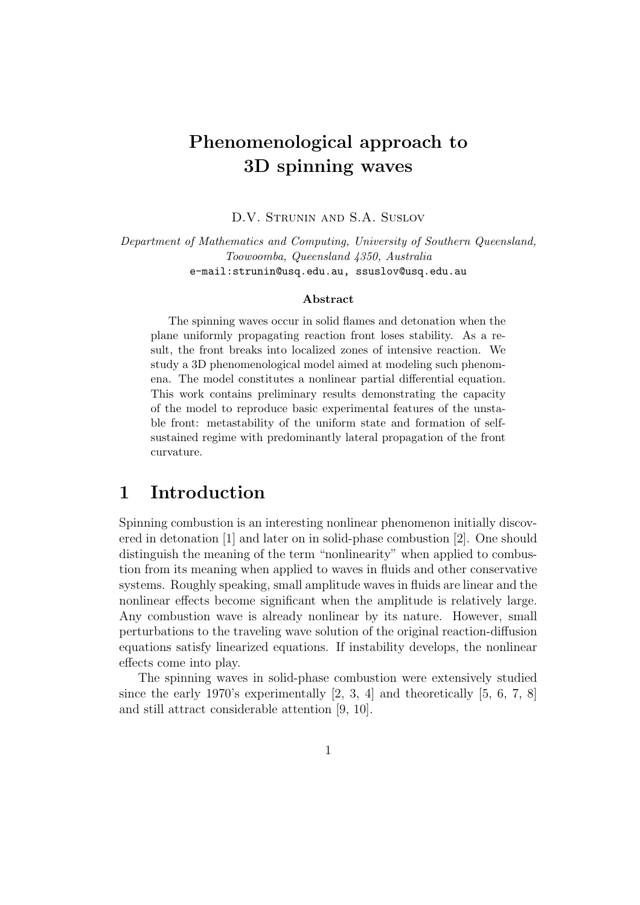# Phenomenological approach to 3D spinning waves

D.V. Strunin and S.A. Suslov

Department of Mathematics and Computing, University of Southern Queensland, Toowoomba, Queensland 4350, Australia e-mail:strunin@usq.edu.au, ssuslov@usq.edu.au

#### Abstract

The spinning waves occur in solid flames and detonation when the plane uniformly propagating reaction front loses stability. As a result, the front breaks into localized zones of intensive reaction. We study a 3D phenomenological model aimed at modeling such phenomena. The model constitutes a nonlinear partial differential equation. This work contains preliminary results demonstrating the capacity of the model to reproduce basic experimental features of the unstable front: metastability of the uniform state and formation of selfsustained regime with predominantly lateral propagation of the front curvature.

#### 1 Introduction

Spinning combustion is an interesting nonlinear phenomenon initially discovered in detonation [1] and later on in solid-phase combustion [2]. One should distinguish the meaning of the term "nonlinearity" when applied to combustion from its meaning when applied to waves in fluids and other conservative systems. Roughly speaking, small amplitude waves in fluids are linear and the nonlinear effects become significant when the amplitude is relatively large. Any combustion wave is already nonlinear by its nature. However, small perturbations to the traveling wave solution of the original reaction-diffusion equations satisfy linearized equations. If instability develops, the nonlinear effects come into play.

The spinning waves in solid-phase combustion were extensively studied since the early 1970's experimentally  $[2, 3, 4]$  and theoretically  $[5, 6, 7, 8]$ and still attract considerable attention [9, 10].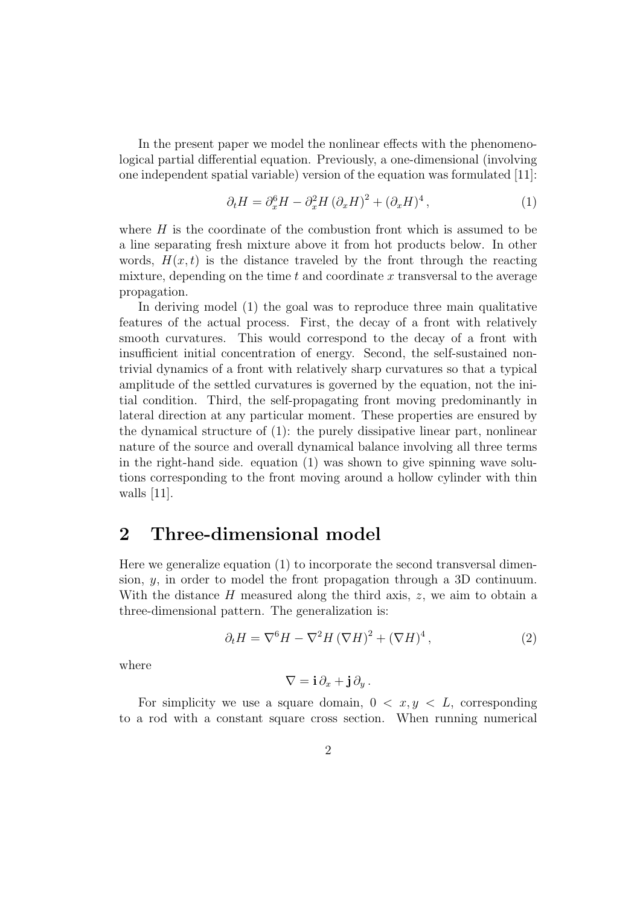In the present paper we model the nonlinear effects with the phenomenological partial differential equation. Previously, a one-dimensional (involving one independent spatial variable) version of the equation was formulated [11]:

$$
\partial_t H = \partial_x^6 H - \partial_x^2 H (\partial_x H)^2 + (\partial_x H)^4, \qquad (1)
$$

where  $H$  is the coordinate of the combustion front which is assumed to be a line separating fresh mixture above it from hot products below. In other words,  $H(x, t)$  is the distance traveled by the front through the reacting mixture, depending on the time  $t$  and coordinate  $x$  transversal to the average propagation.

In deriving model (1) the goal was to reproduce three main qualitative features of the actual process. First, the decay of a front with relatively smooth curvatures. This would correspond to the decay of a front with insufficient initial concentration of energy. Second, the self-sustained nontrivial dynamics of a front with relatively sharp curvatures so that a typical amplitude of the settled curvatures is governed by the equation, not the initial condition. Third, the self-propagating front moving predominantly in lateral direction at any particular moment. These properties are ensured by the dynamical structure of (1): the purely dissipative linear part, nonlinear nature of the source and overall dynamical balance involving all three terms in the right-hand side. equation (1) was shown to give spinning wave solutions corresponding to the front moving around a hollow cylinder with thin walls [11].

#### 2 Three-dimensional model

Here we generalize equation (1) to incorporate the second transversal dimension,  $y$ , in order to model the front propagation through a 3D continuum. With the distance  $H$  measured along the third axis,  $z$ , we aim to obtain a three-dimensional pattern. The generalization is:

$$
\partial_t H = \nabla^6 H - \nabla^2 H (\nabla H)^2 + (\nabla H)^4, \qquad (2)
$$

where

$$
\nabla = \mathbf{i}\,\partial_x + \mathbf{j}\,\partial_y\,.
$$

For simplicity we use a square domain,  $0 < x, y < L$ , corresponding to a rod with a constant square cross section. When running numerical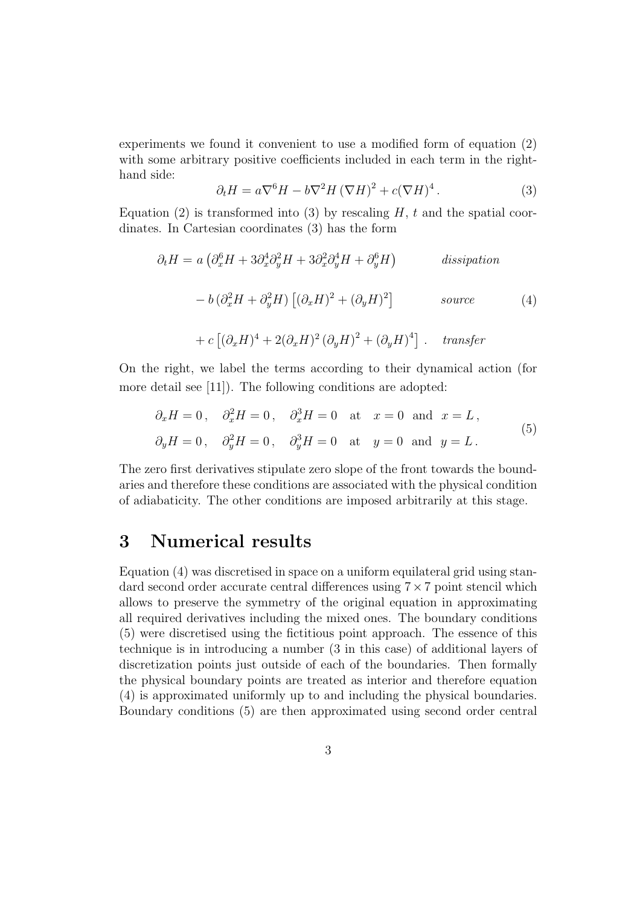experiments we found it convenient to use a modified form of equation (2) with some arbitrary positive coefficients included in each term in the righthand side:

$$
\partial_t H = a \nabla^6 H - b \nabla^2 H (\nabla H)^2 + c (\nabla H)^4. \tag{3}
$$

Equation (2) is transformed into (3) by rescaling  $H$ , t and the spatial coordinates. In Cartesian coordinates (3) has the form

$$
\partial_t H = a \left( \partial_x^6 H + 3 \partial_x^4 \partial_y^2 H + 3 \partial_x^2 \partial_y^4 H + \partial_y^6 H \right) \qquad \text{dissipation}
$$

$$
- b \left( \partial_x^2 H + \partial_y^2 H \right) \left[ (\partial_x H)^2 + (\partial_y H)^2 \right] \qquad \text{source}
$$
(4)

+ 
$$
c [(\partial_x H)^4 + 2(\partial_x H)^2 (\partial_y H)^2 + (\partial_y H)^4]
$$
. *transfer*

On the right, we label the terms according to their dynamical action (for more detail see [11]). The following conditions are adopted:

$$
\partial_x H = 0
$$
,  $\partial_x^2 H = 0$ ,  $\partial_x^3 H = 0$  at  $x = 0$  and  $x = L$ ,  
\n $\partial_y H = 0$ ,  $\partial_y^2 H = 0$ ,  $\partial_y^3 H = 0$  at  $y = 0$  and  $y = L$ . (5)

The zero first derivatives stipulate zero slope of the front towards the boundaries and therefore these conditions are associated with the physical condition of adiabaticity. The other conditions are imposed arbitrarily at this stage.

## 3 Numerical results

Equation (4) was discretised in space on a uniform equilateral grid using standard second order accurate central differences using 7×7 point stencil which allows to preserve the symmetry of the original equation in approximating all required derivatives including the mixed ones. The boundary conditions (5) were discretised using the fictitious point approach. The essence of this technique is in introducing a number (3 in this case) of additional layers of discretization points just outside of each of the boundaries. Then formally the physical boundary points are treated as interior and therefore equation (4) is approximated uniformly up to and including the physical boundaries. Boundary conditions (5) are then approximated using second order central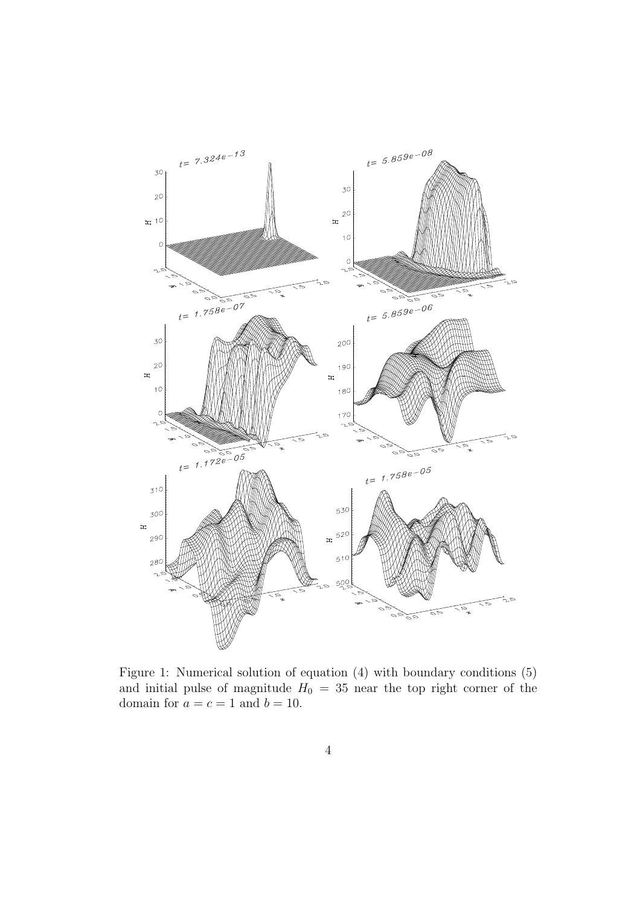

Figure 1: Numerical solution of equation (4) with boundary conditions (5) and initial pulse of magnitude  $H_0 = 35$  near the top right corner of the domain for  $a = c = 1$  and  $b = 10$ .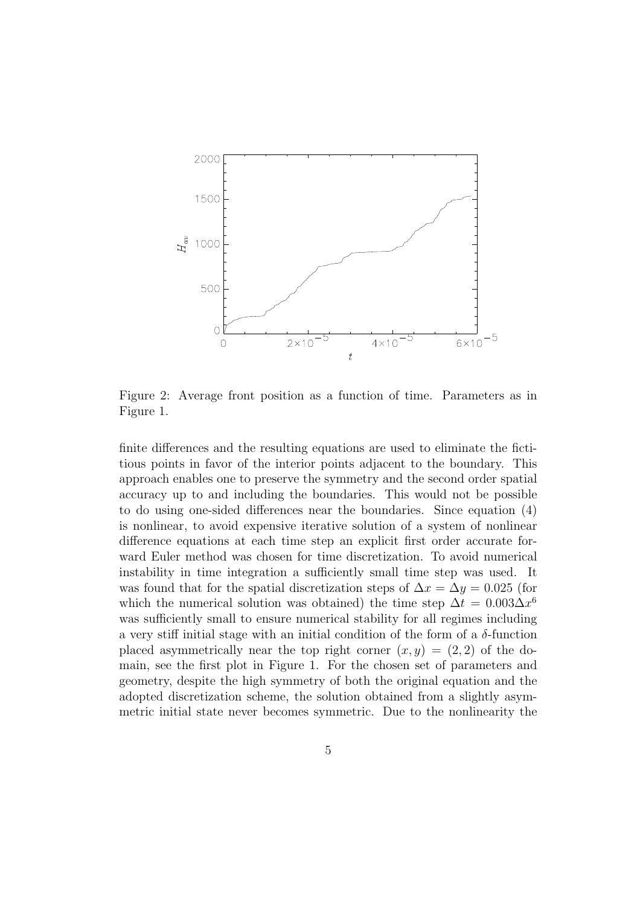

Figure 2: Average front position as a function of time. Parameters as in Figure 1.

finite differences and the resulting equations are used to eliminate the fictitious points in favor of the interior points adjacent to the boundary. This approach enables one to preserve the symmetry and the second order spatial accuracy up to and including the boundaries. This would not be possible to do using one-sided differences near the boundaries. Since equation (4) is nonlinear, to avoid expensive iterative solution of a system of nonlinear difference equations at each time step an explicit first order accurate forward Euler method was chosen for time discretization. To avoid numerical instability in time integration a sufficiently small time step was used. It was found that for the spatial discretization steps of  $\Delta x = \Delta y = 0.025$  (for which the numerical solution was obtained) the time step  $\Delta t = 0.003 \Delta x^6$ was sufficiently small to ensure numerical stability for all regimes including a very stiff initial stage with an initial condition of the form of a  $\delta$ -function placed asymmetrically near the top right corner  $(x, y) = (2, 2)$  of the domain, see the first plot in Figure 1. For the chosen set of parameters and geometry, despite the high symmetry of both the original equation and the adopted discretization scheme, the solution obtained from a slightly asymmetric initial state never becomes symmetric. Due to the nonlinearity the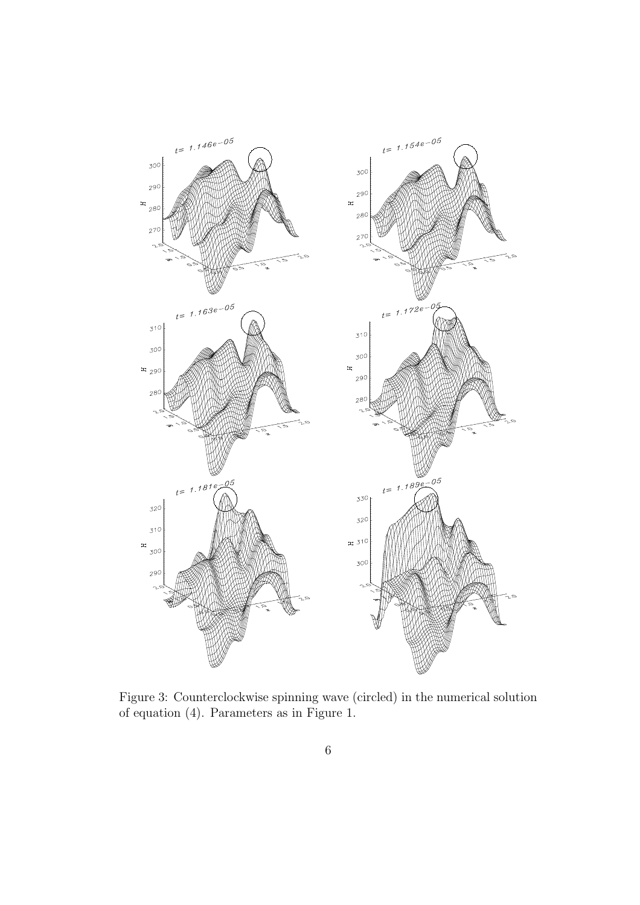

Figure 3: Counterclockwise spinning wave (circled) in the numerical solution of equation (4). Parameters as in Figure 1.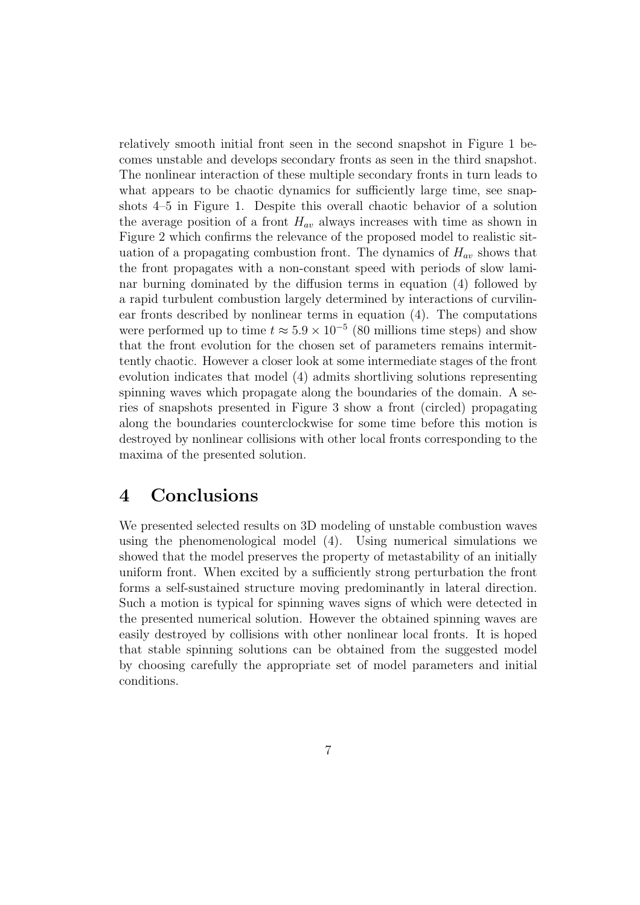relatively smooth initial front seen in the second snapshot in Figure 1 becomes unstable and develops secondary fronts as seen in the third snapshot. The nonlinear interaction of these multiple secondary fronts in turn leads to what appears to be chaotic dynamics for sufficiently large time, see snapshots 4–5 in Figure 1. Despite this overall chaotic behavior of a solution the average position of a front  $H_{av}$  always increases with time as shown in Figure 2 which confirms the relevance of the proposed model to realistic situation of a propagating combustion front. The dynamics of  $H_{av}$  shows that the front propagates with a non-constant speed with periods of slow laminar burning dominated by the diffusion terms in equation (4) followed by a rapid turbulent combustion largely determined by interactions of curvilinear fronts described by nonlinear terms in equation (4). The computations were performed up to time  $t \approx 5.9 \times 10^{-5}$  (80 millions time steps) and show that the front evolution for the chosen set of parameters remains intermittently chaotic. However a closer look at some intermediate stages of the front evolution indicates that model (4) admits shortliving solutions representing spinning waves which propagate along the boundaries of the domain. A series of snapshots presented in Figure 3 show a front (circled) propagating along the boundaries counterclockwise for some time before this motion is destroyed by nonlinear collisions with other local fronts corresponding to the maxima of the presented solution.

# 4 Conclusions

We presented selected results on 3D modeling of unstable combustion waves using the phenomenological model (4). Using numerical simulations we showed that the model preserves the property of metastability of an initially uniform front. When excited by a sufficiently strong perturbation the front forms a self-sustained structure moving predominantly in lateral direction. Such a motion is typical for spinning waves signs of which were detected in the presented numerical solution. However the obtained spinning waves are easily destroyed by collisions with other nonlinear local fronts. It is hoped that stable spinning solutions can be obtained from the suggested model by choosing carefully the appropriate set of model parameters and initial conditions.